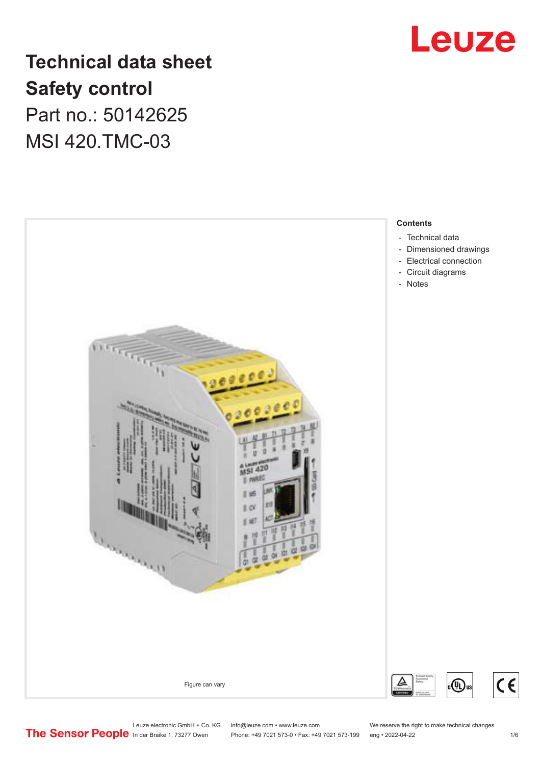

## **Technical data sheet Safety control** Part no.: 50142625 MSI 420.TMC-03



- 
- [Dimensioned drawings](#page-2-0)
- [Electrical connection](#page-2-0)
- [Circuit diagrams](#page-4-0)

Leuze electronic GmbH + Co. KG info@leuze.com • www.leuze.com We reserve the right to make technical changes<br> **The Sensor People** in der Braike 1, 73277 Owen Phone: +49 7021 573-0 • Fax: +49 7021 573-199 eng • 2022-04-22 Phone: +49 7021 573-0 • Fax: +49 7021 573-199 eng • 2022-04-22 1 1 16

 $c \in$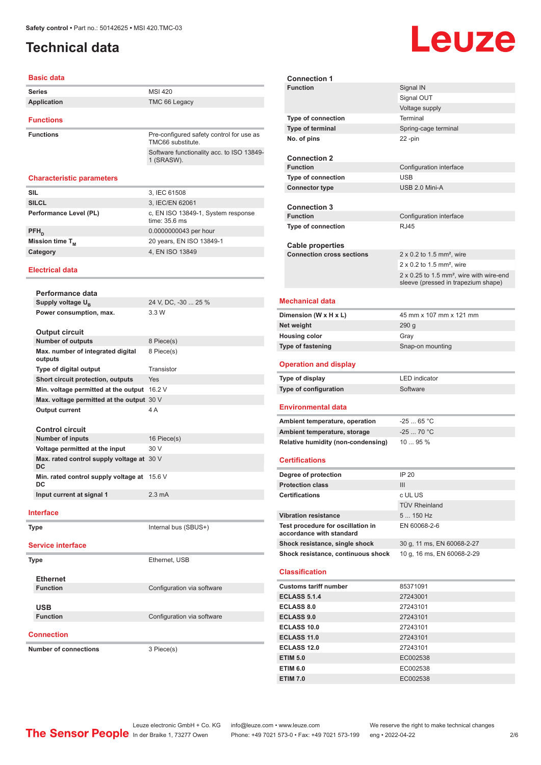## <span id="page-1-0"></span>**Technical data**

# Leuze

#### **Basic data**

| <b>Series</b>                    | <b>MSI 420</b>                                                |
|----------------------------------|---------------------------------------------------------------|
| Application                      | TMC 66 Legacy                                                 |
|                                  |                                                               |
| <b>Functions</b>                 |                                                               |
| <b>Functions</b>                 | Pre-configured safety control for use as<br>TMC66 substitute. |
|                                  | Software functionality acc. to ISO 13849-<br>1 (SRASW).       |
|                                  |                                                               |
| <b>Characteristic parameters</b> |                                                               |
| <b>SIL</b>                       | 3, IEC 61508                                                  |
| <b>SILCL</b>                     | 3, IEC/EN 62061                                               |
| Performance Level (PL)           | c, EN ISO 13849-1, System response<br>time: $35.6$ ms         |
| $PFH_n$                          | 0.0000000043 per hour                                         |
| Mission time T <sub>M</sub>      | 20 years, EN ISO 13849-1                                      |
| Category                         | 4, EN ISO 13849                                               |

### **Electrical data**

|                  | Performance data                                |                            |
|------------------|-------------------------------------------------|----------------------------|
|                  | Supply voltage U <sub>B</sub>                   | 24 V, DC, -30  25 %        |
|                  | Power consumption, max.                         | 3.3 W                      |
|                  | <b>Output circuit</b>                           |                            |
|                  | <b>Number of outputs</b>                        | 8 Piece(s)                 |
|                  | Max. number of integrated digital<br>outputs    | 8 Piece(s)                 |
|                  | Type of digital output                          | Transistor                 |
|                  | Short circuit protection, outputs               | Yes                        |
|                  | Min. voltage permitted at the output            | 16.2V                      |
|                  | Max. voltage permitted at the output 30 V       |                            |
|                  | <b>Output current</b>                           | 4 A                        |
|                  | <b>Control circuit</b>                          |                            |
|                  | Number of inputs                                | 16 Piece(s)                |
|                  | Voltage permitted at the input                  | 30 V                       |
|                  | Max. rated control supply voltage at 30 V<br>DC |                            |
|                  | Min. rated control supply voltage at<br>DC      | 15.6 V                     |
|                  | Input current at signal 1                       | $2.3 \text{ mA}$           |
| <b>Interface</b> |                                                 |                            |
|                  | Type                                            | Internal bus (SBUS+)       |
|                  |                                                 |                            |
|                  | <b>Service interface</b>                        |                            |
|                  | <b>Type</b>                                     | Ethernet, USB              |
|                  | <b>Ethernet</b>                                 |                            |
|                  | <b>Function</b>                                 | Configuration via software |
|                  |                                                 |                            |
|                  | <b>USB</b>                                      |                            |

**Function** Configuration via software

**Connection**

**Number of connections** 3 Piece(s)

| <b>Connection 1</b>                                           |                                                             |
|---------------------------------------------------------------|-------------------------------------------------------------|
| <b>Function</b>                                               | Signal IN                                                   |
|                                                               | Signal OUT                                                  |
|                                                               | Voltage supply                                              |
| <b>Type of connection</b>                                     | Terminal                                                    |
| Type of terminal                                              | Spring-cage terminal                                        |
| No. of pins                                                   | 22 -pin                                                     |
|                                                               |                                                             |
| <b>Connection 2</b>                                           |                                                             |
| <b>Function</b>                                               | Configuration interface                                     |
| <b>Type of connection</b>                                     | <b>USB</b>                                                  |
| <b>Connector type</b>                                         | USB 2.0 Mini-A                                              |
|                                                               |                                                             |
| <b>Connection 3</b>                                           |                                                             |
| <b>Function</b>                                               | Configuration interface                                     |
| <b>Type of connection</b>                                     | <b>RJ45</b>                                                 |
|                                                               |                                                             |
| <b>Cable properties</b>                                       |                                                             |
| <b>Connection cross sections</b>                              | $2 \times 0.2$ to 1.5 mm <sup>2</sup> , wire                |
|                                                               | 2 x 0.2 to 1.5 mm <sup>2</sup> , wire                       |
|                                                               | $2 \times 0.25$ to 1.5 mm <sup>2</sup> , wire with wire-end |
|                                                               | sleeve (pressed in trapezium shape)                         |
|                                                               |                                                             |
| <b>Mechanical data</b>                                        |                                                             |
| Dimension (W x H x L)                                         | 45 mm x 107 mm x 121 mm                                     |
| Net weight                                                    | 290 g                                                       |
| <b>Housing color</b>                                          | Gray                                                        |
| <b>Type of fastening</b>                                      | Snap-on mounting                                            |
|                                                               |                                                             |
| <b>Operation and display</b>                                  |                                                             |
| Type of display                                               | <b>LED</b> indicator                                        |
| Type of configuration                                         | Software                                                    |
|                                                               |                                                             |
| <b>Environmental data</b>                                     |                                                             |
| Ambient temperature, operation                                | $-2565 °C$                                                  |
| Ambient temperature, storage                                  | $-2570 °C$                                                  |
| Relative humidity (non-condensing)                            | 10  95 %                                                    |
|                                                               |                                                             |
| <b>Certifications</b>                                         |                                                             |
| Degree of protection                                          | IP 20                                                       |
| <b>Protection class</b>                                       | Ш                                                           |
| <b>Certifications</b>                                         | c UL US                                                     |
|                                                               | <b>TÜV Rheinland</b>                                        |
|                                                               |                                                             |
| <b>Vibration resistance</b>                                   | 5  150 Hz                                                   |
| Test procedure for oscillation in<br>accordance with standard | EN 60068-2-6                                                |
| Shock resistance, single shock                                | 30 g, 11 ms, EN 60068-2-27                                  |
| Shock resistance, continuous shock                            | 10 g, 16 ms, EN 60068-2-29                                  |
|                                                               |                                                             |
|                                                               |                                                             |
| <b>Classification</b>                                         |                                                             |
| <b>Customs tariff number</b>                                  | 85371091                                                    |
| <b>ECLASS 5.1.4</b>                                           | 27243001                                                    |
| <b>ECLASS 8.0</b>                                             | 27243101                                                    |
| <b>ECLASS 9.0</b>                                             | 27243101                                                    |
| <b>ECLASS 10.0</b>                                            | 27243101                                                    |
|                                                               |                                                             |
| <b>ECLASS 11.0</b>                                            | 27243101                                                    |
| <b>ECLASS 12.0</b><br><b>ETIM 5.0</b>                         | 27243101<br>EC002538                                        |

Leuze electronic GmbH + Co. KG info@leuze.com • www.leuze.com We reserve the right to make technical changes<br>
The Sensor People in der Braike 1, 73277 Owen Phone: +49 7021 573-0 • Fax: +49 7021 573-199 eng • 2022-04-22 Phone: +49 7021 573-0 • Fax: +49 7021 573-199 eng • 2022-04-22 2 2 2 /6

**ETIM 6.0** EC002538 **ETIM 7.0** EC002538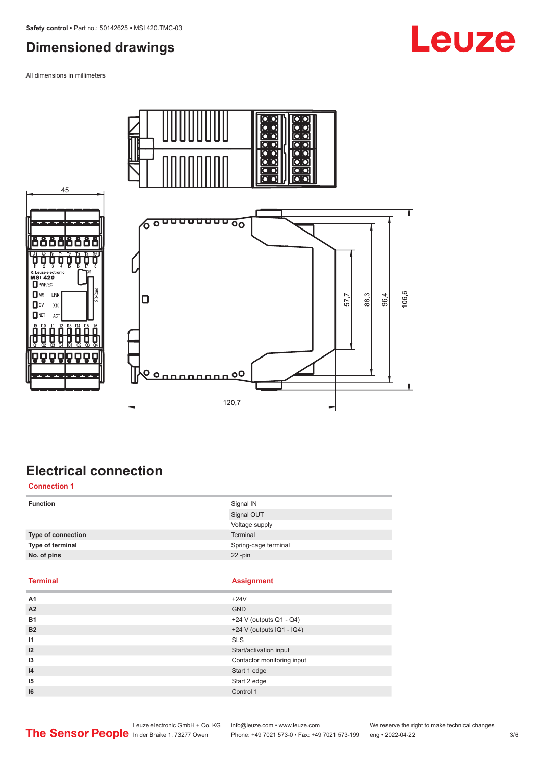## <span id="page-2-0"></span>**Dimensioned drawings**

All dimensions in millimeters



Leuze





Ō <u>ہ</u>  $\overline{\mathbf{G}}$ Б

 $\frac{1}{2}$ D n

## **Electrical connection**

#### **Connection 1**

| <b>Function</b>    | Signal IN<br>Signal OUT<br>Voltage supply |
|--------------------|-------------------------------------------|
| Type of connection | Terminal                                  |
| Type of terminal   | Spring-cage terminal                      |
| No. of pins        | $22$ -pin                                 |
|                    |                                           |

### **Terminal Assignment**

| Α1             | $+24V$                       |
|----------------|------------------------------|
| A2             | <b>GND</b>                   |
| <b>B1</b>      | +24 V (outputs Q1 - Q4)      |
| <b>B2</b>      | +24 V (outputs $IQ1 - IQ4$ ) |
| I1             | <b>SLS</b>                   |
| $\overline{2}$ | Start/activation input       |
| 13             | Contactor monitoring input   |
| 14             | Start 1 edge                 |
| 15             | Start 2 edge                 |
| 16             | Control 1                    |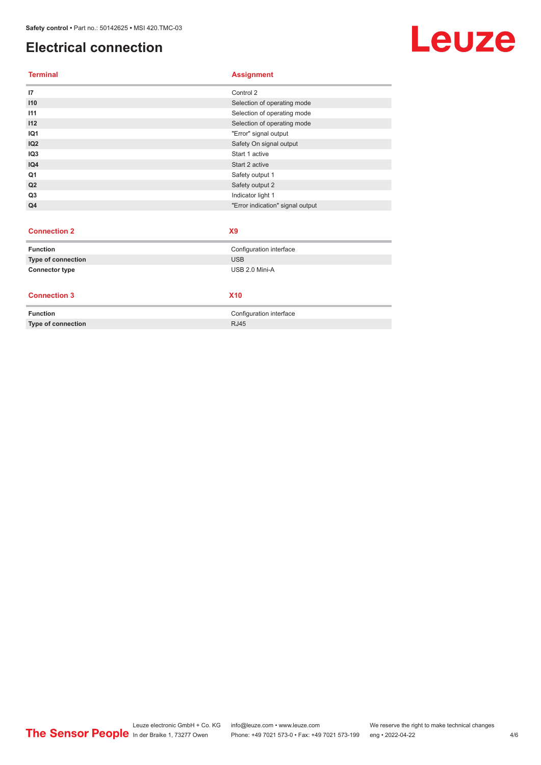## **Electrical connection**

**Terminal Assignment**

| Control 2                        |
|----------------------------------|
| Selection of operating mode      |
| Selection of operating mode      |
| Selection of operating mode      |
| "Error" signal output            |
| Safety On signal output          |
| Start 1 active                   |
| Start 2 active                   |
| Safety output 1                  |
| Safety output 2                  |
| Indicator light 1                |
| "Error indication" signal output |
|                                  |

#### **Connection 2 X9**

| <b>Function</b>       | Configuration interface |
|-----------------------|-------------------------|
| Type of connection    | USB                     |
| <b>Connector type</b> | USB 2.0 Mini-A          |

#### **Connection 3 X10**

| <b>Function</b>    | Configuration interface |
|--------------------|-------------------------|
| Type of connection | <b>RJ45</b>             |

Leuze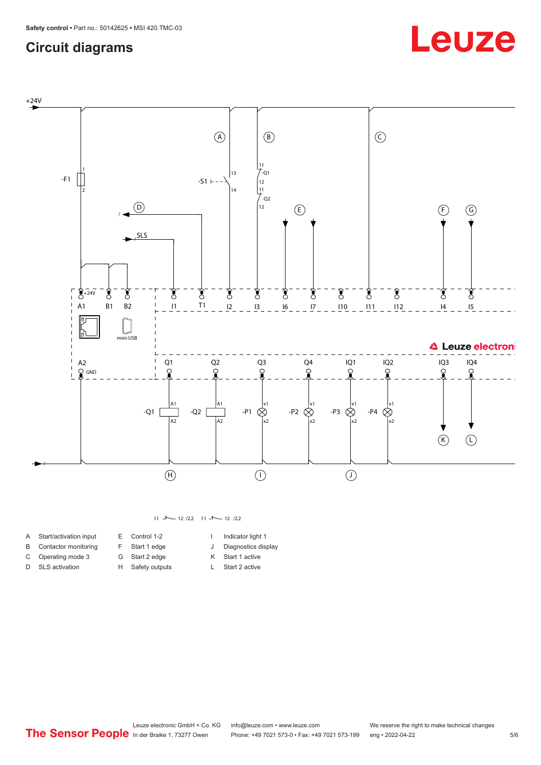## <span id="page-4-0"></span>**Circuit diagrams**

# Leuze



 $11 \rightarrow -12 / 2.2 \quad 11 \rightarrow -12 / 2.2$ 

- A Start/activation input
- B Contactor monitoring
- C Operating mode 3
- D SLS activation
- F Start 1 edge G Start 2 edge

H Safety outputs

E Control 1-2

J Diagnostics display K Start 1 active

I Indicator light 1

L Start 2 active